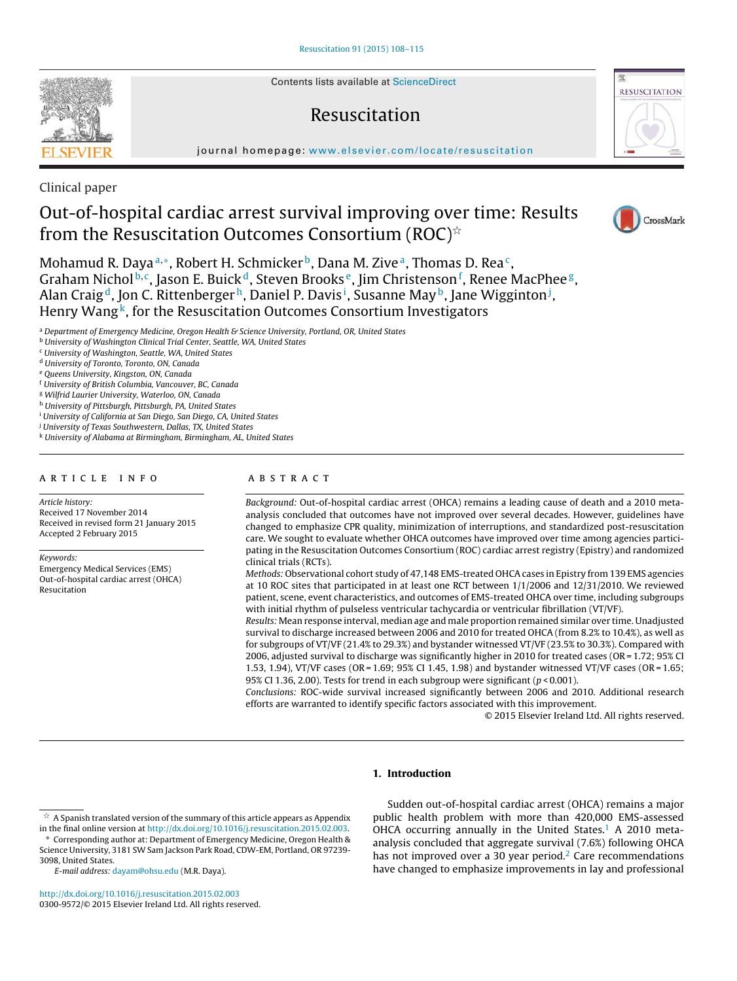Contents lists available at ScienceDirect

# Resuscitation

journal homepage: www.elsevier.com/locate/resuscitation

Clinical paper

# Out-of-hospital cardiac arrest survival improving over time: Results from the Resuscitation Outcomes Consortium (ROC) $^{\scriptscriptstyle\mathrm{\mathop{\times}}}$

Mohamud R. Daya<sup>a,\*</sup>, Robert H. Schmicker<sup>b</sup>, Dana M. Zive<sup>a</sup>, Thomas D. Rea<sup>c</sup>, Graham Nichol<sup>b,c</sup>, Jason E. Buick<sup>d</sup>, Steven Brooks<sup>e</sup>, Jim Christenson<sup>f</sup>, Renee MacPhee<sup>g</sup>, Alan Craig<sup>d</sup>, Jon C. Rittenberger<sup>h</sup>, Daniel P. Davis<sup>i</sup>, Susanne May<sup>b</sup>, Jane Wigginton<sup>j</sup>, Henry Wang<sup>k</sup>, for the Resuscitation Outcomes Consortium Investigators

a Department of Emergency Medicine, Oregon Health & Science University, Portland, OR, United States

<sup>b</sup> University of Washington Clinical Trial Center, Seattle, WA, United States

<sup>c</sup> University of Washington, Seattle, WA, United States

<sup>d</sup> University of Toronto, Toronto, ON, Canada

<sup>e</sup> Queens University, Kingston, ON, Canada

<sup>f</sup> University of British Columbia, Vancouver, BC, Canada

<sup>g</sup> Wilfrid Laurier University, Waterloo, ON, Canada

h University of Pittsburgh, Pittsburgh, PA, United States

<sup>i</sup> University of California at San Diego, San Diego, CA, United States

<sup>j</sup> University of Texas Southwestern, Dallas, TX, United States

<sup>k</sup> University of Alabama at Birmingham, Birmingham, AL, United States

## a r t i c l e i n f o

Article history:

Received 17 November 2014 Received in revised form 21 January 2015 Accepted 2 February 2015

Keywords:

Emergency Medical Services (EMS) Out-of-hospital cardiac arrest (OHCA) Resucitation

# A B S T R A C T

Background: Out-of-hospital cardiac arrest (OHCA) remains a leading cause of death and a 2010 metaanalysis concluded that outcomes have not improved over several decades. However, guidelines have changed to emphasize CPR quality, minimization of interruptions, and standardized post-resuscitation care. We sought to evaluate whether OHCA outcomes have improved over time among agencies participating in the Resuscitation Outcomes Consortium (ROC) cardiac arrest registry (Epistry) and randomized clinical trials (RCTs).

Methods: Observational cohort study of 47,148 EMS-treated OHCA cases in Epistry from 139 EMS agencies at 10 ROC sites that participated in at least one RCT between 1/1/2006 and 12/31/2010. We reviewed patient, scene, event characteristics, and outcomes of EMS-treated OHCA over time, including subgroups with initial rhythm of pulseless ventricular tachycardia or ventricular fibrillation (VT/VF).

Results: Mean response interval, median age and male proportion remained similar over time. Unadjusted survival to discharge increased between 2006 and 2010 for treated OHCA (from 8.2% to 10.4%), as well as for subgroups of VT/VF (21.4% to 29.3%) and bystander witnessed VT/VF (23.5% to 30.3%). Compared with 2006, adjusted survival to discharge was significantly higher in 2010 for treated cases (OR = 1.72; 95% CI 1.53, 1.94), VT/VF cases (OR = 1.69; 95% CI 1.45, 1.98) and bystander witnessed VT/VF cases (OR = 1.65; 95% CI 1.36, 2.00). Tests for trend in each subgroup were significant ( $p < 0.001$ ).

Conclusions: ROC-wide survival increased significantly between 2006 and 2010. Additional research efforts are warranted to identify specific factors associated with this improvement.

© 2015 Elsevier Ireland Ltd. All rights reserved.

# **1. Introduction**

E-mail address: dayam@ohsu.edu (M.R. Daya).

http://dx.doi.org/10.1016/j.resuscitation.2015.02.003 0300-9572/© 2015 Elsevier Ireland Ltd. All rights reserved.

CrossMark







 $^\star\,$  A Spanish translated version of the summary of this article appears as Appendix in the final online version at http://dx.doi.org/10.1016/j.resuscitation.2015.02.003. ∗ Corresponding author at: Department of Emergency Medicine, Oregon Health & Science University, 3181 SW Sam Jackson Park Road, CDW-EM, Portland, OR 97239- 3098, United States.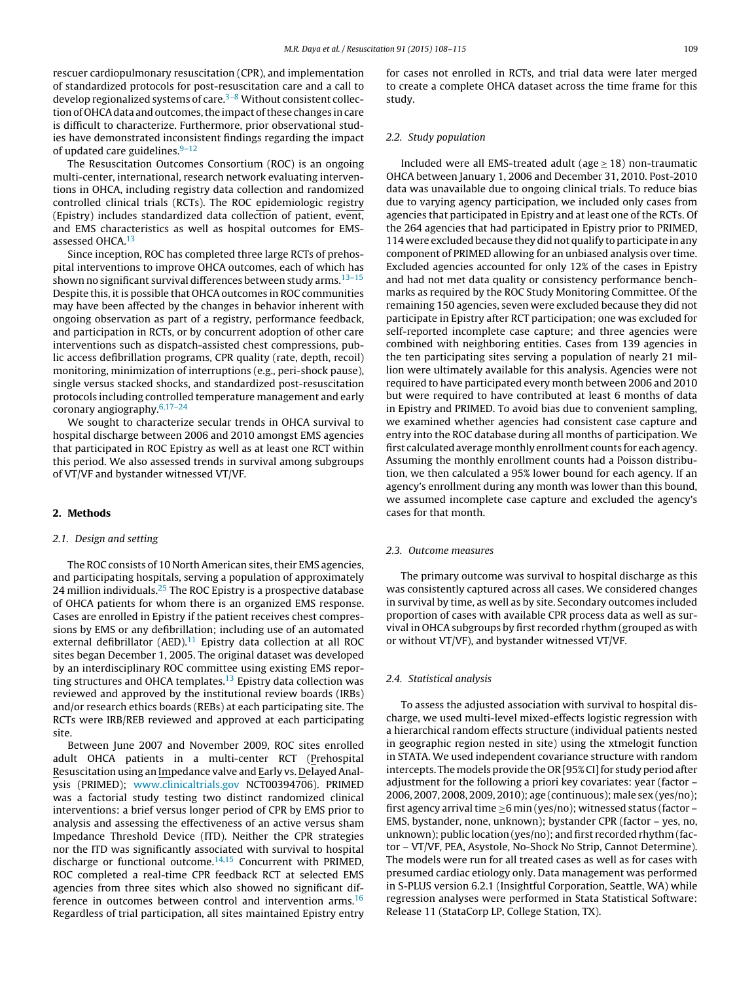rescuer cardiopulmonary resuscitation (CPR), and implementation of standardized protocols for post-resuscitation care and a call to develop regionalized systems of care.<sup> $3-8$ </sup> Without consistent collection of OHCA data and outcomes, the impact of these changes in care is difficult to characterize. Furthermore, prior observational studies have demonstrated inconsistent findings regarding the impact of updated care guidelines. $9-12$ 

The Resuscitation Outcomes Consortium (ROC) is an ongoing multi-center, international, research network evaluating interventions in OHCA, including registry data collection and randomized controlled clinical trials (RCTs). The ROC epidemiologic registry (Epistry) includes standardized data collection of patient, event, and EMS characteristics as well as hospital outcomes for EMSassessed OHCA.<sup>13</sup>

Since inception, ROC has completed three large RCTs of prehospital interventions to improve OHCA outcomes, each of which has shown no significant survival differences between study arms.<sup>13-15</sup> Despite this, it is possible that OHCA outcomes in ROC communities may have been affected by the changes in behavior inherent with ongoing observation as part of a registry, performance feedback, and participation in RCTs, or by concurrent adoption of other care interventions such as dispatch-assisted chest compressions, public access defibrillation programs, CPR quality (rate, depth, recoil) monitoring, minimization of interruptions (e.g., peri-shock pause), single versus stacked shocks, and standardized post-resuscitation protocols including controlled temperature management and early coronary angiography.6,17–24

We sought to characterize secular trends in OHCA survival to hospital discharge between 2006 and 2010 amongst EMS agencies that participated in ROC Epistry as well as at least one RCT within this period. We also assessed trends in survival among subgroups of VT/VF and bystander witnessed VT/VF.

# **2. Methods**

### 2.1. Design and setting

The ROC consists of 10 North American sites, their EMS agencies, and participating hospitals, serving a population of approximately 24 million individuals.<sup>25</sup> The ROC Epistry is a prospective database of OHCA patients for whom there is an organized EMS response. Cases are enrolled in Epistry if the patient receives chest compressions by EMS or any defibrillation; including use of an automated external defibrillator (AED). $11$  Epistry data collection at all ROC sites began December 1, 2005. The original dataset was developed by an interdisciplinary ROC committee using existing EMS reporting structures and OHCA templates.<sup>13</sup> Epistry data collection was reviewed and approved by the institutional review boards (IRBs) and/or research ethics boards (REBs) at each participating site. The RCTs were IRB/REB reviewed and approved at each participating site.

Between June 2007 and November 2009, ROC sites enrolled adult OHCA patients in a multi-center RCT (Prehospital Resuscitation using an Impedance valve and Early vs. Delayed Analysis (PRIMED); www.clinicaltrials.gov NCT00394706). PRIMED was a factorial study testing two distinct randomized clinical interventions: a brief versus longer period of CPR by EMS prior to analysis and assessing the effectiveness of an active versus sham Impedance Threshold Device (ITD). Neither the CPR strategies nor the ITD was significantly associated with survival to hospital discharge or functional outcome.<sup>14,15</sup> Concurrent with PRIMED, ROC completed a real-time CPR feedback RCT at selected EMS agencies from three sites which also showed no significant difference in outcomes between control and intervention  $\text{arms.}^{16}$ Regardless of trial participation, all sites maintained Epistry entry for cases not enrolled in RCTs, and trial data were later merged to create a complete OHCA dataset across the time frame for this study.

## 2.2. Study population

Included were all EMS-treated adult ( $age > 18$ ) non-traumatic OHCA between January 1, 2006 and December 31, 2010. Post-2010 data was unavailable due to ongoing clinical trials. To reduce bias due to varying agency participation, we included only cases from agencies that participated in Epistry and at least one of the RCTs. Of the 264 agencies that had participated in Epistry prior to PRIMED, 114 were excluded because they did not qualify to participate in any component of PRIMED allowing for an unbiased analysis over time. Excluded agencies accounted for only 12% of the cases in Epistry and had not met data quality or consistency performance benchmarks as required by the ROC Study Monitoring Committee. Of the remaining 150 agencies, seven were excluded because they did not participate in Epistry after RCT participation; one was excluded for self-reported incomplete case capture; and three agencies were combined with neighboring entities. Cases from 139 agencies in the ten participating sites serving a population of nearly 21 million were ultimately available for this analysis. Agencies were not required to have participated every month between 2006 and 2010 but were required to have contributed at least 6 months of data in Epistry and PRIMED. To avoid bias due to convenient sampling, we examined whether agencies had consistent case capture and entry into the ROC database during all months of participation. We first calculated averagemonthly enrollment counts for each agency. Assuming the monthly enrollment counts had a Poisson distribution, we then calculated a 95% lower bound for each agency. If an agency's enrollment during any month was lower than this bound, we assumed incomplete case capture and excluded the agency's cases for that month.

## 2.3. Outcome measures

The primary outcome was survival to hospital discharge as this was consistently captured across all cases. We considered changes in survival by time, as well as by site. Secondary outcomes included proportion of cases with available CPR process data as well as survival in OHCA subgroups by first recorded rhythm (grouped as with or without VT/VF), and bystander witnessed VT/VF.

## 2.4. Statistical analysis

To assess the adjusted association with survival to hospital discharge, we used multi-level mixed-effects logistic regression with a hierarchical random effects structure (individual patients nested in geographic region nested in site) using the xtmelogit function in STATA. We used independent covariance structure with random intercepts. The models provide the OR [95% CI] for study period after adjustment for the following a priori key covariates: year (factor – 2006, 2007, 2008, 2009, 2010); age (continuous);male sex (yes/no); first agency arrival time  $\geq$ 6 min (yes/no); witnessed status (factor – EMS, bystander, none, unknown); bystander CPR (factor – yes, no, unknown); public location (yes/no); and first recorded rhythm (factor – VT/VF, PEA, Asystole, No-Shock No Strip, Cannot Determine). The models were run for all treated cases as well as for cases with presumed cardiac etiology only. Data management was performed in S-PLUS version 6.2.1 (Insightful Corporation, Seattle, WA) while regression analyses were performed in Stata Statistical Software: Release 11 (StataCorp LP, College Station, TX).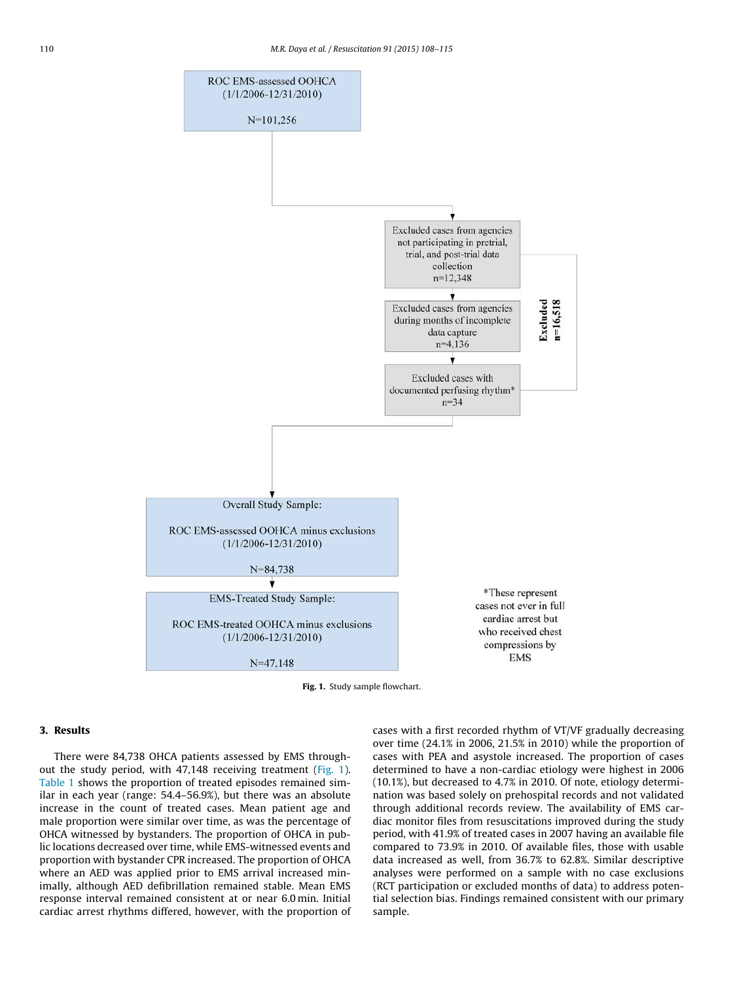

**Fig. 1.** Study sample flowchart.

# **3. Results**

There were 84,738 OHCA patients assessed by EMS throughout the study period, with 47,148 receiving treatment (Fig. 1). Table 1 shows the proportion of treated episodes remained similar in each year (range: 54.4–56.9%), but there was an absolute increase in the count of treated cases. Mean patient age and male proportion were similar over time, as was the percentage of OHCA witnessed by bystanders. The proportion of OHCA in public locations decreased over time, while EMS-witnessed events and proportion with bystander CPR increased. The proportion of OHCA where an AED was applied prior to EMS arrival increased minimally, although AED defibrillation remained stable. Mean EMS response interval remained consistent at or near 6.0 min. Initial cardiac arrest rhythms differed, however, with the proportion of cases with a first recorded rhythm of VT/VF gradually decreasing over time (24.1% in 2006, 21.5% in 2010) while the proportion of cases with PEA and asystole increased. The proportion of cases determined to have a non-cardiac etiology were highest in 2006 (10.1%), but decreased to 4.7% in 2010. Of note, etiology determination was based solely on prehospital records and not validated through additional records review. The availability of EMS cardiac monitor files from resuscitations improved during the study period, with 41.9% of treated cases in 2007 having an available file compared to 73.9% in 2010. Of available files, those with usable data increased as well, from 36.7% to 62.8%. Similar descriptive analyses were performed on a sample with no case exclusions (RCT participation or excluded months of data) to address potential selection bias. Findings remained consistent with our primary sample.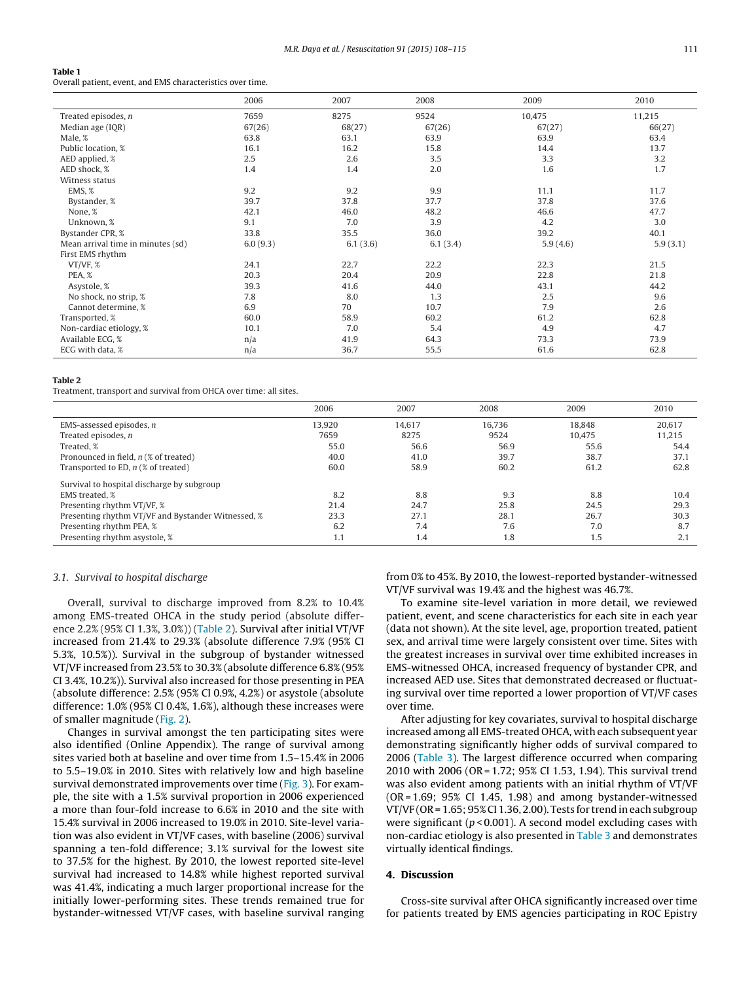### **Table 1**

Overall patient, event, and EMS characteristics over time.

|                                   | 2006     | 2007     | 2008     | 2009     | 2010     |
|-----------------------------------|----------|----------|----------|----------|----------|
| Treated episodes, $n$             | 7659     | 8275     | 9524     | 10,475   | 11,215   |
| Median age (IQR)                  | 67(26)   | 68(27)   | 67(26)   | 67(27)   | 66(27)   |
| Male, %                           | 63.8     | 63.1     | 63.9     | 63.9     | 63.4     |
| Public location, %                | 16.1     | 16.2     | 15.8     | 14.4     | 13.7     |
| AED applied, %                    | 2.5      | 2.6      | 3.5      | 3.3      | 3.2      |
| AED shock, %                      | 1.4      | 1.4      | 2.0      | 1.6      | 1.7      |
| Witness status                    |          |          |          |          |          |
| EMS, %                            | 9.2      | 9.2      | 9.9      | 11.1     | 11.7     |
| Bystander, %                      | 39.7     | 37.8     | 37.7     | 37.8     | 37.6     |
| None, %                           | 42.1     | 46.0     | 48.2     | 46.6     | 47.7     |
| Unknown, %                        | 9.1      | 7.0      | 3.9      | 4.2      | 3.0      |
| Bystander CPR, %                  | 33.8     | 35.5     | 36.0     | 39.2     | 40.1     |
| Mean arrival time in minutes (sd) | 6.0(9.3) | 6.1(3.6) | 6.1(3.4) | 5.9(4.6) | 5.9(3.1) |
| First EMS rhythm                  |          |          |          |          |          |
| VT/VF, %                          | 24.1     | 22.7     | 22.2     | 22.3     | 21.5     |
| PEA, %                            | 20.3     | 20.4     | 20.9     | 22.8     | 21.8     |
| Asystole, %                       | 39.3     | 41.6     | 44.0     | 43.1     | 44.2     |
| No shock, no strip, %             | 7.8      | 8.0      | 1.3      | 2.5      | 9.6      |
| Cannot determine, %               | 6.9      | 70       | 10.7     | 7.9      | 2.6      |
| Transported, %                    | 60.0     | 58.9     | 60.2     | 61.2     | 62.8     |
| Non-cardiac etiology, %           | 10.1     | 7.0      | 5.4      | 4.9      | 4.7      |
| Available ECG, %                  | n/a      | 41.9     | 64.3     | 73.3     | 73.9     |
| ECG with data, %                  | n/a      | 36.7     | 55.5     | 61.6     | 62.8     |

#### **Table 2**

Treatment, transport and survival from OHCA over time: all sites.

|                                                    | 2006   | 2007   | 2008   | 2009   | 2010   |
|----------------------------------------------------|--------|--------|--------|--------|--------|
| EMS-assessed episodes, $n$                         | 13.920 | 14,617 | 16.736 | 18.848 | 20.617 |
| Treated episodes, $n$                              | 7659   | 8275   | 9524   | 10.475 | 11.215 |
| Treated, %                                         | 55.0   | 56.6   | 56.9   | 55.6   | 54.4   |
| Pronounced in field, $n$ (% of treated)            | 40.0   | 41.0   | 39.7   | 38.7   | 37.1   |
| Transported to ED, $n$ (% of treated)              | 60.0   | 58.9   | 60.2   | 61.2   | 62.8   |
| Survival to hospital discharge by subgroup         |        |        |        |        |        |
| EMS treated, %                                     | 8.2    | 8.8    | 9.3    | 8.8    | 10.4   |
| Presenting rhythm VT/VF, %                         | 21.4   | 24.7   | 25.8   | 24.5   | 29.3   |
| Presenting rhythm VT/VF and Bystander Witnessed, % | 23.3   | 27.1   | 28.1   | 26.7   | 30.3   |
| Presenting rhythm PEA, %                           | 6.2    | 7.4    | 7.6    | 7.0    | 8.7    |
| Presenting rhythm asystole, %                      | 1.1    | 1.4    | 1.8    | 1.5    | 2.1    |

## 3.1. Survival to hospital discharge

Overall, survival to discharge improved from 8.2% to 10.4% among EMS-treated OHCA in the study period (absolute difference 2.2% (95% CI 1.3%, 3.0%)) (Table 2). Survival after initial VT/VF increased from 21.4% to 29.3% (absolute difference 7.9% (95% CI 5.3%, 10.5%)). Survival in the subgroup of bystander witnessed VT/VF increased from 23.5% to 30.3% (absolute difference 6.8% (95% CI 3.4%, 10.2%)). Survival also increased for those presenting in PEA (absolute difference: 2.5% (95% CI 0.9%, 4.2%) or asystole (absolute difference: 1.0% (95% CI 0.4%, 1.6%), although these increases were of smaller magnitude (Fig. 2).

Changes in survival amongst the ten participating sites were also identified (Online Appendix). The range of survival among sites varied both at baseline and over time from 1.5–15.4% in 2006 to 5.5–19.0% in 2010. Sites with relatively low and high baseline survival demonstrated improvements over time (Fig. 3). For example, the site with a 1.5% survival proportion in 2006 experienced a more than four-fold increase to 6.6% in 2010 and the site with 15.4% survival in 2006 increased to 19.0% in 2010. Site-level variation was also evident in VT/VF cases, with baseline (2006) survival spanning a ten-fold difference; 3.1% survival for the lowest site to 37.5% for the highest. By 2010, the lowest reported site-level survival had increased to 14.8% while highest reported survival was 41.4%, indicating a much larger proportional increase for the initially lower-performing sites. These trends remained true for bystander-witnessed VT/VF cases, with baseline survival ranging from 0% to 45%. By 2010, the lowest-reported bystander-witnessed VT/VF survival was 19.4% and the highest was 46.7%.

To examine site-level variation in more detail, we reviewed patient, event, and scene characteristics for each site in each year (data not shown). At the site level, age, proportion treated, patient sex, and arrival time were largely consistent over time. Sites with the greatest increases in survival over time exhibited increases in EMS-witnessed OHCA, increased frequency of bystander CPR, and increased AED use. Sites that demonstrated decreased or fluctuating survival over time reported a lower proportion of VT/VF cases over time.

After adjusting for key covariates, survival to hospital discharge increased among all EMS-treated OHCA, with each subsequent year demonstrating significantly higher odds of survival compared to 2006 (Table 3). The largest difference occurred when comparing 2010 with 2006 (OR = 1.72; 95% CI 1.53, 1.94). This survival trend was also evident among patients with an initial rhythm of VT/VF  $(OR = 1.69; 95% CI 1.45, 1.98)$  and among bystander-witnessed VT/VF (OR = 1.65; 95% CI 1.36, 2.00). Tests for trend in each subgroup were significant ( $p < 0.001$ ). A second model excluding cases with non-cardiac etiology is also presented in Table 3 and demonstrates virtually identical findings.

## **4. Discussion**

Cross-site survival after OHCA significantly increased over time for patients treated by EMS agencies participating in ROC Epistry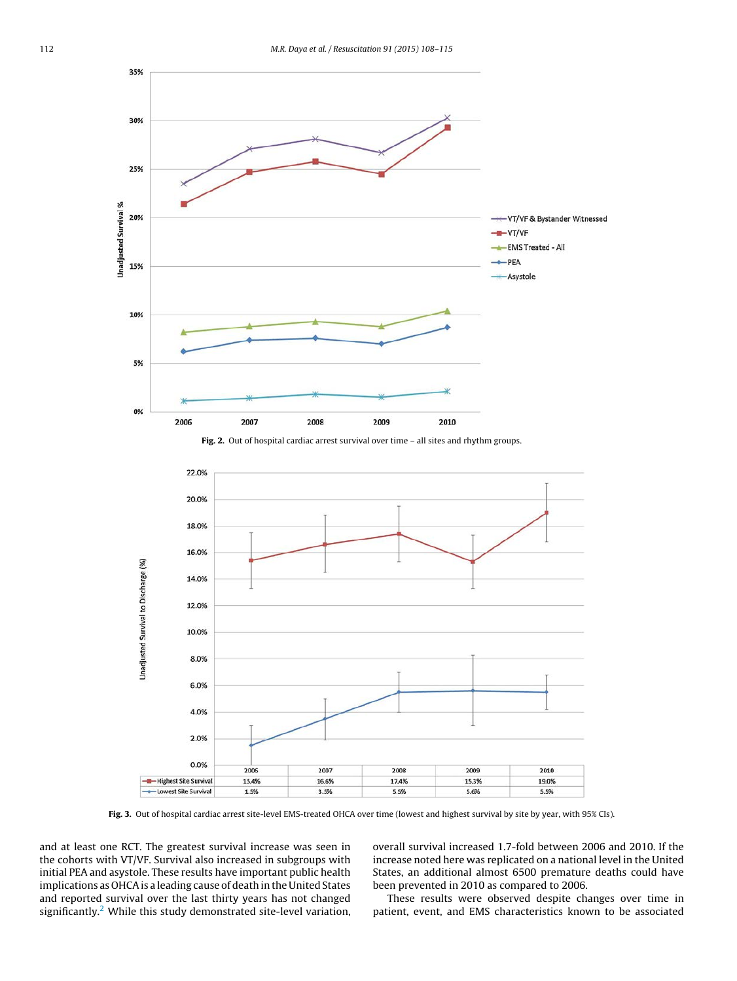





**Fig. 3.** Out of hospital cardiac arrest site-level EMS-treated OHCA over time (lowest and highest survival by site by year, with 95% CIs).

and at least one RCT. The greatest survival increase was seen in the cohorts with VT/VF. Survival also increased in subgroups with initial PEA and asystole. These results have important public health implications as OHCA is a leading cause of death in the United States and reported survival over the last thirty years has not changed significantly. $2$  While this study demonstrated site-level variation,

overall survival increased 1.7-fold between 2006 and 2010. If the increase noted here was replicated on a national level in the United States, an additional almost 6500 premature deaths could have been prevented in 2010 as compared to 2006.

These results were observed despite changes over time in patient, event, and EMS characteristics known to be associated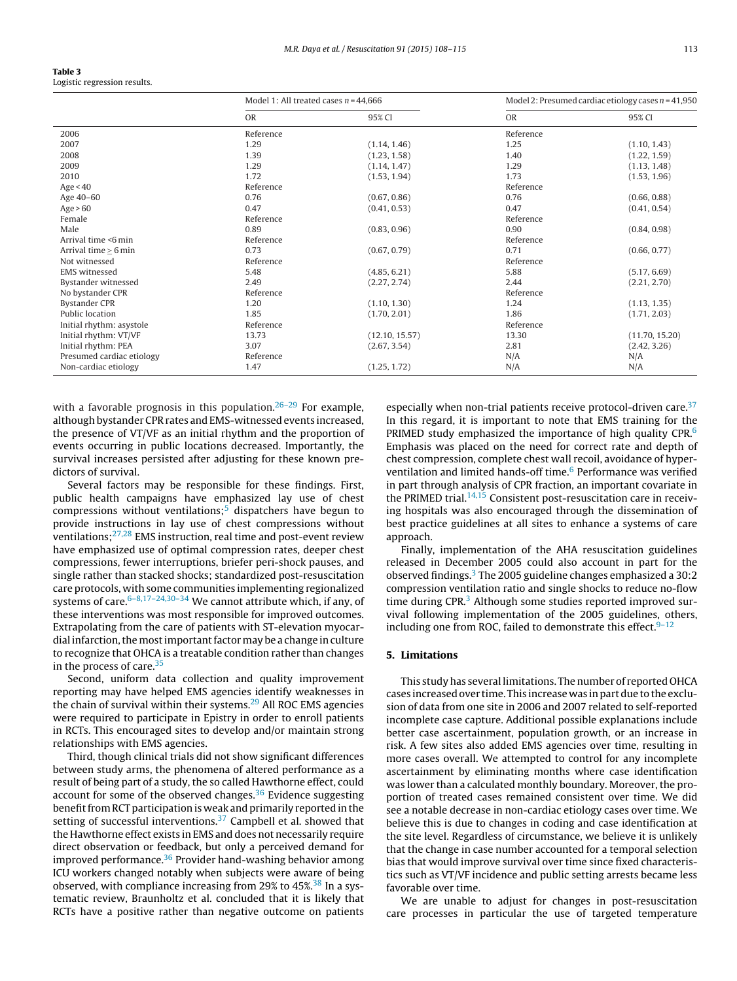| Table 3                      |
|------------------------------|
| Logistic regression results. |

|                           | Model 1: All treated cases $n = 44,666$ |                | Model 2: Presumed cardiac etiology cases $n = 41,950$ |                |
|---------------------------|-----------------------------------------|----------------|-------------------------------------------------------|----------------|
|                           | <b>OR</b>                               | 95% CI         | <b>OR</b>                                             | 95% CI         |
| 2006                      | Reference                               |                | Reference                                             |                |
| 2007                      | 1.29                                    | (1.14, 1.46)   | 1.25                                                  | (1.10, 1.43)   |
| 2008                      | 1.39                                    | (1.23, 1.58)   | 1.40                                                  | (1.22, 1.59)   |
| 2009                      | 1.29                                    | (1.14, 1.47)   | 1.29                                                  | (1.13, 1.48)   |
| 2010                      | 1.72                                    | (1.53, 1.94)   | 1.73                                                  | (1.53, 1.96)   |
| Age $< 40$                | Reference                               |                | Reference                                             |                |
| Age 40-60                 | 0.76                                    | (0.67, 0.86)   | 0.76                                                  | (0.66, 0.88)   |
| Age > 60                  | 0.47                                    | (0.41, 0.53)   | 0.47                                                  | (0.41, 0.54)   |
| Female                    | Reference                               |                | Reference                                             |                |
| Male                      | 0.89                                    | (0.83, 0.96)   | 0.90                                                  | (0.84, 0.98)   |
| Arrival time <6 min       | Reference                               |                | Reference                                             |                |
| Arrival time $\geq 6$ min | 0.73                                    | (0.67, 0.79)   | 0.71                                                  | (0.66, 0.77)   |
| Not witnessed             | Reference                               |                | Reference                                             |                |
| <b>EMS</b> witnessed      | 5.48                                    | (4.85, 6.21)   | 5.88                                                  | (5.17, 6.69)   |
| Bystander witnessed       | 2.49                                    | (2.27, 2.74)   | 2.44                                                  | (2.21, 2.70)   |
| No bystander CPR          | Reference                               |                | Reference                                             |                |
| <b>Bystander CPR</b>      | 1.20                                    | (1.10, 1.30)   | 1.24                                                  | (1.13, 1.35)   |
| Public location           | 1.85                                    | (1.70, 2.01)   | 1.86                                                  | (1.71, 2.03)   |
| Initial rhythm: asystole  | Reference                               |                | Reference                                             |                |
| Initial rhythm: VT/VF     | 13.73                                   | (12.10, 15.57) | 13.30                                                 | (11.70, 15.20) |
| Initial rhythm: PEA       | 3.07                                    | (2.67, 3.54)   | 2.81                                                  | (2.42, 3.26)   |
| Presumed cardiac etiology | Reference                               |                | N/A                                                   | N/A            |
| Non-cardiac etiology      | 1.47                                    | (1.25, 1.72)   | N/A                                                   | N/A            |

with a favorable prognosis in this population. $26-29$  For example, although bystander CPR rates and EMS-witnessed events increased, the presence of VT/VF as an initial rhythm and the proportion of events occurring in public locations decreased. Importantly, the survival increases persisted after adjusting for these known predictors of survival.

Several factors may be responsible for these findings. First, public health campaigns have emphasized lay use of chest compressions without ventilations; $5$  dispatchers have begun to provide instructions in lay use of chest compressions without ventilations; $27,28$  EMS instruction, real time and post-event review have emphasized use of optimal compression rates, deeper chest compressions, fewer interruptions, briefer peri-shock pauses, and single rather than stacked shocks; standardized post-resuscitation care protocols, with some communities implementing regionalized systems of care. $6-8,17-24,30-34$  We cannot attribute which, if any, of these interventions was most responsible for improved outcomes. Extrapolating from the care of patients with ST-elevation myocardial infarction, themost important factormay be a change in culture to recognize that OHCA is a treatable condition rather than changes in the process of care.<sup>35</sup>

Second, uniform data collection and quality improvement reporting may have helped EMS agencies identify weaknesses in the chain of survival within their systems.<sup>29</sup> All ROC EMS agencies were required to participate in Epistry in order to enroll patients in RCTs. This encouraged sites to develop and/or maintain strong relationships with EMS agencies.

Third, though clinical trials did not show significant differences between study arms, the phenomena of altered performance as a result of being part of a study, the so called Hawthorne effect, could account for some of the observed changes. $36$  Evidence suggesting benefit from RCT participation is weak and primarily reported in the setting of successful interventions. $37$  Campbell et al. showed that the Hawthorne effect exists in EMS and does not necessarily require direct observation or feedback, but only a perceived demand for improved performance. $36$  Provider hand-washing behavior among ICU workers changed notably when subjects were aware of being observed, with compliance increasing from 29% to 45%.<sup>38</sup> In a systematic review, Braunholtz et al. concluded that it is likely that RCTs have a positive rather than negative outcome on patients

especially when non-trial patients receive protocol-driven care.<sup>37</sup> In this regard, it is important to note that EMS training for the PRIMED study emphasized the importance of high quality CPR.<sup>6</sup> Emphasis was placed on the need for correct rate and depth of chest compression, complete chest wall recoil, avoidance of hyperventilation and limited hands-off time.<sup>6</sup> Performance was verified in part through analysis of CPR fraction, an important covariate in the PRIMED trial.<sup>14,15</sup> Consistent post-resuscitation care in receiving hospitals was also encouraged through the dissemination of best practice guidelines at all sites to enhance a systems of care approach.

Finally, implementation of the AHA resuscitation guidelines released in December 2005 could also account in part for the observed findings. $3$  The 2005 guideline changes emphasized a 30:2 compression ventilation ratio and single shocks to reduce no-flow time during  $CPR<sup>3</sup>$  Although some studies reported improved survival following implementation of the 2005 guidelines, others, including one from ROC, failed to demonstrate this effect. $9-12$ 

## **5. Limitations**

This study has several limitations. The number of reported OHCA cases increased over time. This increase was in part due to the exclusion of data from one site in 2006 and 2007 related to self-reported incomplete case capture. Additional possible explanations include better case ascertainment, population growth, or an increase in risk. A few sites also added EMS agencies over time, resulting in more cases overall. We attempted to control for any incomplete ascertainment by eliminating months where case identification was lower than a calculated monthly boundary. Moreover, the proportion of treated cases remained consistent over time. We did see a notable decrease in non-cardiac etiology cases over time. We believe this is due to changes in coding and case identification at the site level. Regardless of circumstance, we believe it is unlikely that the change in case number accounted for a temporal selection bias that would improve survival over time since fixed characteristics such as VT/VF incidence and public setting arrests became less favorable over time.

We are unable to adjust for changes in post-resuscitation care processes in particular the use of targeted temperature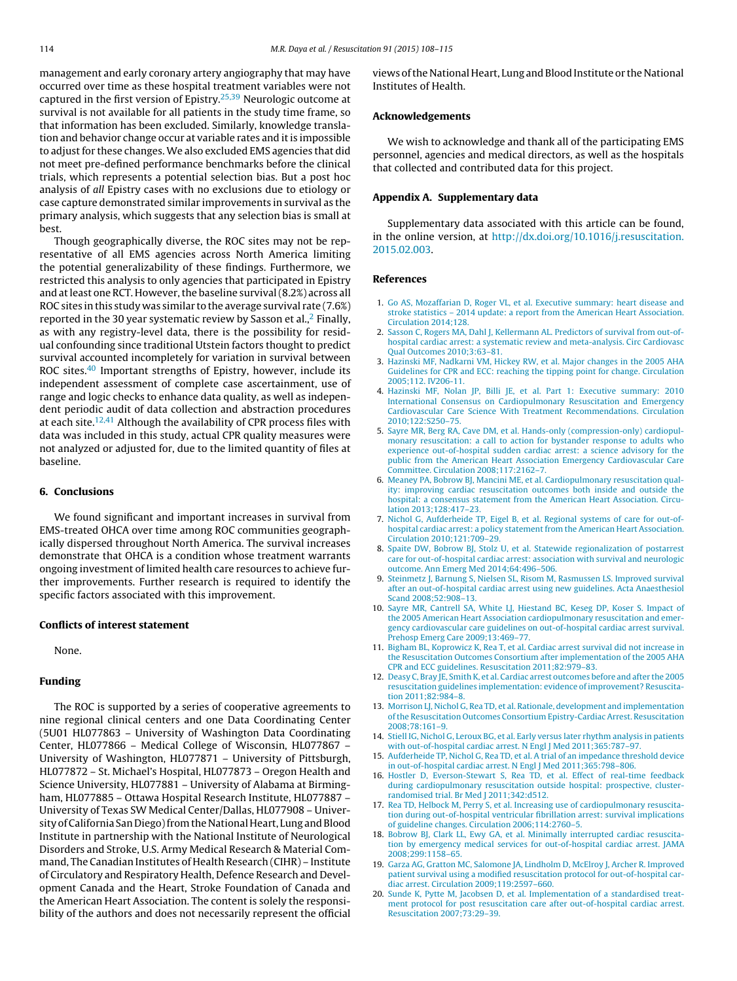management and early coronary artery angiography that may have occurred over time as these hospital treatment variables were not captured in the first version of  $E$ pistry.<sup>25,39</sup> Neurologic outcome at survival is not available for all patients in the study time frame, so that information has been excluded. Similarly, knowledge translation and behavior change occur at variable rates and it is impossible to adjust for these changes. We also excluded EMS agencies that did not meet pre-defined performance benchmarks before the clinical trials, which represents a potential selection bias. But a post hoc analysis of all Epistry cases with no exclusions due to etiology or case capture demonstrated similar improvements in survival as the primary analysis, which suggests that any selection bias is small at best.

Though geographically diverse, the ROC sites may not be representative of all EMS agencies across North America limiting the potential generalizability of these findings. Furthermore, we restricted this analysis to only agencies that participated in Epistry and at least one RCT. However, the baseline survival (8.2%) across all ROC sites in this study was similar to the average survival rate (7.6%) reported in the 30 year systematic review by Sasson et al., $<sup>2</sup>$  Finally,</sup> as with any registry-level data, there is the possibility for residual confounding since traditional Utstein factors thought to predict survival accounted incompletely for variation in survival between ROC sites.<sup>40</sup> Important strengths of Epistry, however, include its independent assessment of complete case ascertainment, use of range and logic checks to enhance data quality, as well as independent periodic audit of data collection and abstraction procedures at each site.<sup>12,41</sup> Although the availability of CPR process files with data was included in this study, actual CPR quality measures were not analyzed or adjusted for, due to the limited quantity of files at baseline.

# **6. Conclusions**

We found significant and important increases in survival from EMS-treated OHCA over time among ROC communities geographically dispersed throughout North America. The survival increases demonstrate that OHCA is a condition whose treatment warrants ongoing investment of limited health care resources to achieve further improvements. Further research is required to identify the specific factors associated with this improvement.

## **Conflicts of interest statement**

None.

## **Funding**

The ROC is supported by a series of cooperative agreements to nine regional clinical centers and one Data Coordinating Center (5U01 HL077863 – University of Washington Data Coordinating Center, HL077866 – Medical College of Wisconsin, HL077867 – University of Washington, HL077871 – University of Pittsburgh, HL077872 – St. Michael's Hospital, HL077873 – Oregon Health and Science University, HL077881 – University of Alabama at Birmingham, HL077885 – Ottawa Hospital Research Institute, HL077887 – University of Texas SW Medical Center/Dallas, HL077908 – University of California San Diego) from the National Heart, Lung and Blood Institute in partnership with the National Institute of Neurological Disorders and Stroke, U.S. Army Medical Research & Material Command, The Canadian Institutes of Health Research (CIHR) – Institute of Circulatory and Respiratory Health, Defence Research and Development Canada and the Heart, Stroke Foundation of Canada and the American Heart Association. The content is solely the responsibility of the authors and does not necessarily represent the official views of the National Heart, Lung and Blood Institute or the National Institutes of Health.

## **Acknowledgements**

We wish to acknowledge and thank all of the participating EMS personnel, agencies and medical directors, as well as the hospitals that collected and contributed data for this project.

## **Appendix A. Supplementary data**

Supplementary data associated with this article can be found, in the online version, at http://dx.doi.org/10.1016/j.resuscitation. 2015.02.003.

## **References**

- 1. Go AS, Mozaffarian D, Roger VL, et al. Executive summary: heart disease and stroke statistics – 2014 update: a report from the American Heart Association. Circulation 2014;128.
- 2. Sasson C, Rogers MA, Dahl J, Kellermann AL. Predictors of survival from out-ofhospital cardiac arrest: a systematic review and meta-analysis. Circ Cardiovasc Qual Outcomes 2010;3:63–81.
- 3. Hazinski MF, Nadkarni VM, Hickey RW, et al. Major changes in the 2005 AHA Guidelines for CPR and ECC: reaching the tipping point for change. Circulation 2005;112. IV206-11.
- 4. Hazinski MF, Nolan JP, Billi JE, et al. Part 1: Executive summary: 2010 International Consensus on Cardiopulmonary Resuscitation and Emergency Cardiovascular Care Science With Treatment Recommendations. Circulation 2010;122:S250–75.
- 5. Sayre MR, Berg RA, Cave DM, et al. Hands-only (compression-only) cardiopulmonary resuscitation: a call to action for bystander response to adults who experience out-of-hospital sudden cardiac arrest: a science advisory for the public from the American Heart Association Emergency Cardiovascular Care Committee. Circulation 2008;117:2162–7.
- 6. Meaney PA, Bobrow BJ, Mancini ME, et al. Cardiopulmonary resuscitation quality: improving cardiac resuscitation outcomes both inside and outside the hospital: a consensus statement from the American Heart Association. Circulation 2013;128:417–23.
- 7. Nichol G, Aufderheide TP, Eigel B, et al. Regional systems of care for out-ofhospital cardiac arrest: a policy statement from the American Heart Association. Circulation 2010;121:709–29.
- 8. Spaite DW, Bobrow BJ, Stolz U, et al. Statewide regionalization of postarrest care for out-of-hospital cardiac arrest: association with survival and neurologic outcome. Ann Emerg Med 2014;64:496–506.
- 9. Steinmetz J, Barnung S, Nielsen SL, Risom M, Rasmussen LS. Improved survival after an out-of-hospital cardiac arrest using new guidelines. Acta Anaesthesiol Scand 2008;52:908–13.
- 10. Sayre MR, Cantrell SA, White LJ, Hiestand BC, Keseg DP, Koser S. Impact of the 2005 American Heart Association cardiopulmonary resuscitation and emergency cardiovascular care guidelines on out-of-hospital cardiac arrest survival. Prehosp Emerg Care 2009;13:469–77.
- 11. Bigham BL, Koprowicz K, Rea T, et al. Cardiac arrest survival did not increase in the Resuscitation Outcomes Consortium after implementation of the 2005 AHA CPR and ECC guidelines. Resuscitation 2011;82:979–83.
- 12. Deasy C, Bray JE, Smith K, et al. Cardiac arrest outcomes before and after the 2005 resuscitation guidelines implementation: evidence of improvement? Resuscitation 2011;82:984–8.
- 13. Morrison LJ, Nichol G, Rea TD, et al. Rationale, development and implementation of the Resuscitation Outcomes Consortium Epistry-Cardiac Arrest. Resuscitation 2008;78:161–9.
- 14. Stiell IG, Nichol G, Leroux BG, et al. Early versus later rhythm analysis in patients with out-of-hospital cardiac arrest. N Engl J Med 2011;365:787–97.
- 15. Aufderheide TP, Nichol G, Rea TD, et al. A trial of an impedance threshold device in out-of-hospital cardiac arrest. N Engl J Med 2011;365:798–806.
- 16. Hostler D, Everson-Stewart S, Rea TD, et al. Effect of real-time feedback during cardiopulmonary resuscitation outside hospital: prospective, clusterrandomised trial. Br Med J 2011;342:d512.
- 17. Rea TD, Helbock M, Perry S, et al. Increasing use of cardiopulmonary resuscitation during out-of-hospital ventricular fibrillation arrest: survival implications of guideline changes. Circulation 2006;114:2760–5.
- 18. Bobrow BJ, Clark LL, Ewy GA, et al. Minimally interrupted cardiac resuscitation by emergency medical services for out-of-hospital cardiac arrest. JAMA 2008;299:1158–65.
- 19. Garza AG, Gratton MC, Salomone JA, Lindholm D, McElroy J, Archer R. Improved patient survival using a modified resuscitation protocol for out-of-hospital cardiac arrest. Circulation 2009;119:2597–660.
- 20. Sunde K, Pytte M, Jacobsen D, et al. Implementation of a standardised treatment protocol for post resuscitation care after out-of-hospital cardiac arrest. Resuscitation 2007;73:29–39.